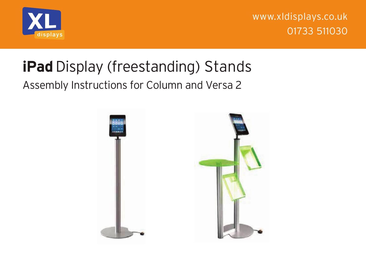

www.xldisplays.co.uk 01733 511030

## **iPad** Display (freestanding) Stands

## Assembly Instructions for Column and Versa 2

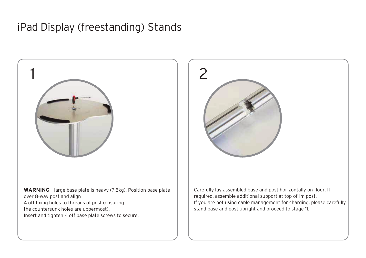## iPad Display (freestanding) Stands



over 8-way post and align 4 off fixing holes to threads of post (ensuring the countersunk holes are uppermost). Insert and tighten 4 off base plate screws to secure.



Carefully lay assembled base and post horizontally on floor. If required, assemble additional support at top of 1m post. If you are not using cable management for charging, please carefully stand base and post upright and proceed to stage 11.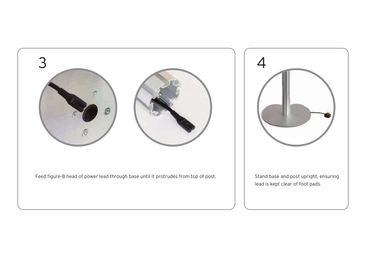



Stand base and post upright, ensuring lead is kept clear of foot pads.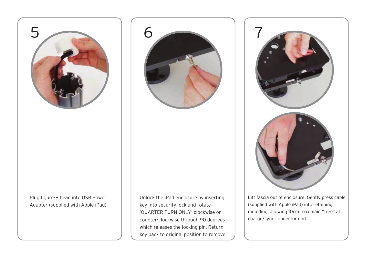

Plug figure-8 head into USB Power Adapter (supplied with Apple iPad). Unlock the iPad enclosure by inserting key into security lock and rotate 'QUARTER TURN ONLY' clockwise or counter-clockwise through 90 degrees which releases the locking pin. Return key back to original position to remove.

6



Lift fascia out of enclosure. Gently press cable (supplied with Apple iPad) into retaining moulding, allowing 10cm to remain "free" at charge/sync connector end.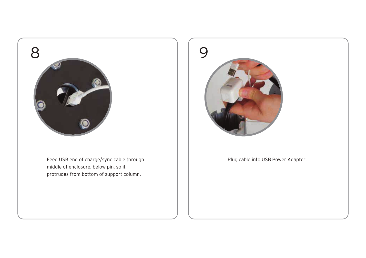

Feed USB end of charge/sync cable through middle of enclosure, below pin, so it protrudes from bottom of support column.



Plug cable into USB Power Adapter.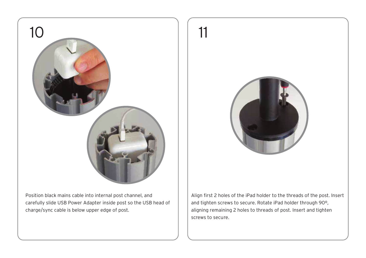

Position black mains cable into internal post channel, and carefully slide USB Power Adapter inside post so the USB head of charge/sync cable is below upper edge of post.



Align first 2 holes of the iPad holder to the threads of the post. Insert and tighten screws to secure. Rotate iPad holder through 90º, aligning remaining 2 holes to threads of post. Insert and tighten screws to secure.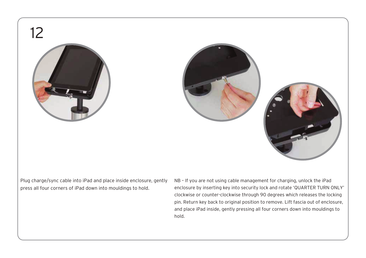12







Plug charge/sync cable into iPad and place inside enclosure, gently press all four corners of iPad down into mouldings to hold.

NB – If you are not using cable management for charging, unlock the iPad enclosure by inserting key into security lock and rotate 'QUARTER TURN ONLY' clockwise or counter-clockwise through 90 degrees which releases the locking pin. Return key back to original position to remove. Lift fascia out of enclosure, and place iPad inside, gently pressing all four corners down into mouldings to hold.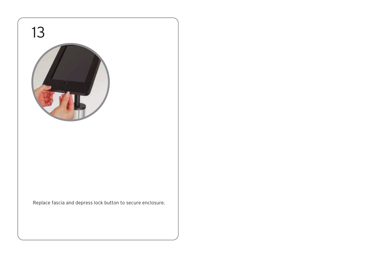

Replace fascia and depress lock button to secure enclosure.